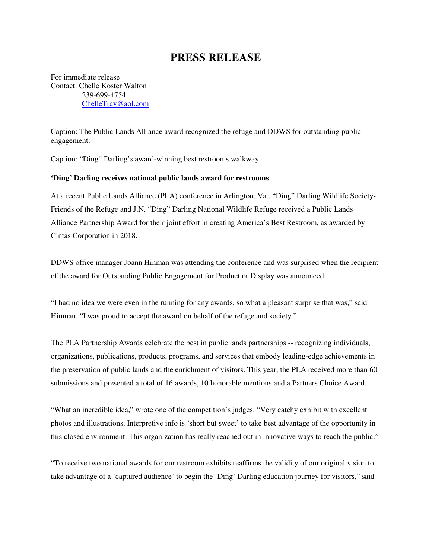## **PRESS RELEASE**

For immediate release Contact: Chelle Koster Walton 239-699-4754 ChelleTrav@aol.com

Caption: The Public Lands Alliance award recognized the refuge and DDWS for outstanding public engagement.

Caption: "Ding" Darling's award-winning best restrooms walkway

## **'Ding' Darling receives national public lands award for restrooms**

At a recent Public Lands Alliance (PLA) conference in Arlington, Va., "Ding" Darling Wildlife Society-Friends of the Refuge and J.N. "Ding" Darling National Wildlife Refuge received a Public Lands Alliance Partnership Award for their joint effort in creating America's Best Restroom, as awarded by Cintas Corporation in 2018.

DDWS office manager Joann Hinman was attending the conference and was surprised when the recipient of the award for Outstanding Public Engagement for Product or Display was announced.

"I had no idea we were even in the running for any awards, so what a pleasant surprise that was," said Hinman. "I was proud to accept the award on behalf of the refuge and society."

The PLA Partnership Awards celebrate the best in public lands partnerships -- recognizing individuals, organizations, publications, products, programs, and services that embody leading-edge achievements in the preservation of public lands and the enrichment of visitors. This year, the PLA received more than 60 submissions and presented a total of 16 awards, 10 honorable mentions and a Partners Choice Award.

"What an incredible idea," wrote one of the competition's judges. "Very catchy exhibit with excellent photos and illustrations. Interpretive info is 'short but sweet' to take best advantage of the opportunity in this closed environment. This organization has really reached out in innovative ways to reach the public."

"To receive two national awards for our restroom exhibits reaffirms the validity of our original vision to take advantage of a 'captured audience' to begin the 'Ding' Darling education journey for visitors," said